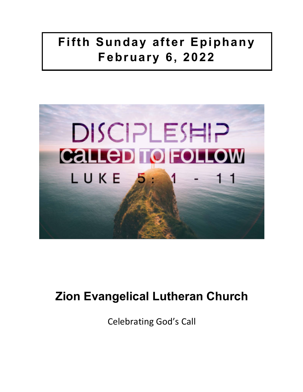# **Fifth Sunday after Epiphany February 6, 2022**



# **Zion Evangelical Lutheran Church**

Celebrating God's Call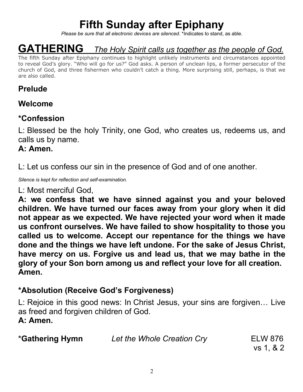# **Fifth Sunday after Epiphany**

*Please be sure that all electronic devices are silenced*. \*Indicates to stand, as able.

# **GATHERING** *The Holy Spirit calls us together as the people of God.*

The fifth Sunday after Epiphany continues to highlight unlikely instruments and circumstances appointed to reveal God's glory. "Who will go for us?" God asks. A person of unclean lips, a former persecutor of the church of God, and three fishermen who couldn't catch a thing. More surprising still, perhaps, is that we are also called.

# **Prelude**

### **Welcome**

# **\*Confession**

L: Blessed be the holy Trinity, one God, who creates us, redeems us, and calls us by name.

### **A: Amen.**

L: Let us confess our sin in the presence of God and of one another.

*Silence is kept for reflection and self-examination.*

L: Most merciful God,

**A: we confess that we have sinned against you and your beloved children. We have turned our faces away from your glory when it did not appear as we expected. We have rejected your word when it made us confront ourselves. We have failed to show hospitality to those you called us to welcome. Accept our repentance for the things we have done and the things we have left undone. For the sake of Jesus Christ, have mercy on us. Forgive us and lead us, that we may bathe in the glory of your Son born among us and reflect your love for all creation. Amen.**

# **\*Absolution (Receive God's Forgiveness)**

L: Rejoice in this good news: In Christ Jesus, your sins are forgiven… Live as freed and forgiven children of God.

**A: Amen.**

| <b>*Gathering Hymn</b> | Let the Whole Creation Cry | ELW 876   |
|------------------------|----------------------------|-----------|
|                        |                            | vs 1, & 2 |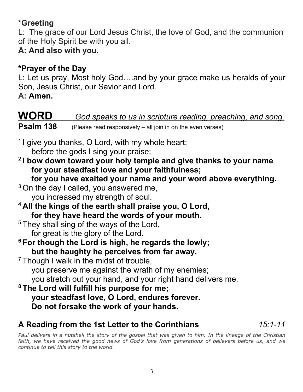# **\*Greeting**

L: The grace of our Lord Jesus Christ, the love of God, and the communion of the Holy Spirit be with you all.

# **A: And also with you.**

# **\*Prayer of the Day**

L: Let us pray, Most holy God….and by your grace make us heralds of your Son, Jesus Christ, our Savior and Lord.

**A: Amen.**

# **WORD** *God speaks to us in scripture reading, preaching, and song.* **Psalm 138** (Please read responsively – all join in on the even verses)

<sup>1</sup> I give you thanks, O Lord, with my whole heart; before the gods I sing your praise;

- **2 I bow down toward your holy temple and give thanks to your name for your steadfast love and your faithfulness;**
	- **for you have exalted your name and your word above everything.**
- $3$  On the day I called, you answered me, you increased my strength of soul.
- **4 All the kings of the earth shall praise you, O Lord, for they have heard the words of your mouth.**

 $5$  They shall sing of the ways of the Lord, for great is the glory of the Lord.

- **6 For though the Lord is high, he regards the lowly; but the haughty he perceives from far away.**
- $7$  Though I walk in the midst of trouble,

you preserve me against the wrath of my enemies;

you stretch out your hand, and your right hand delivers me.

**8 The Lord will fulfill his purpose for me; your steadfast love, O Lord, endures forever. Do not forsake the work of your hands.**

# **A Reading from the 1st Letter to the Corinthians** *15:1-11*

Paul delivers in a nutshell the story of the gospel that was given to him. In the lineage of the Christian faith, we have received the good news of God's love from generations of believers before us, and we *continue to tell this story to the world.*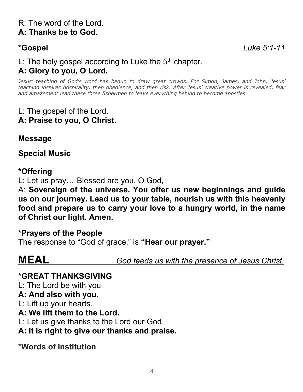**\*Gospel** *Luke 5:1-11*

# L: The holy gospel according to Luke the 5<sup>th</sup> chapter. **A: Glory to you, O Lord.**

*Jesus' teaching of God's word has begun to draw great crowds. For Simon, James, and John, Jesus' teaching inspires hospitality, then obedience, and then risk. After Jesus' creative power is revealed, fear and amazement lead these three fishermen to leave everything behind to become apostles.*

#### L: The gospel of the Lord. **A: Praise to you, O Christ.**

**Message**

**Special Music**

#### **\*Offering**

L: Let us pray… Blessed are you, O God,

A: **Sovereign of the universe. You offer us new beginnings and guide us on our journey. Lead us to your table, nourish us with this heavenly food and prepare us to carry your love to a hungry world, in the name of Christ our light. Amen.**

#### **\*Prayers of the People**

The response to "God of grace," is **"Hear our prayer."**

**MEAL** *God feeds us with the presence of Jesus Christ.*

#### **\*GREAT THANKSGIVING**

L: The Lord be with you.

#### **A: And also with you.**

L: Lift up your hearts.

#### **A: We lift them to the Lord.**

L: Let us give thanks to the Lord our God.

## **A: It is right to give our thanks and praise.**

**\*Words of Institution**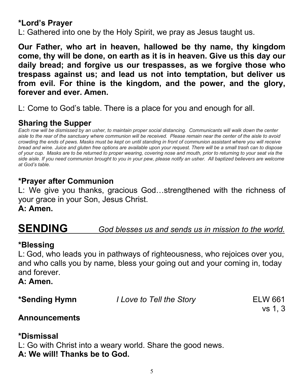### **\*Lord's Prayer**

L: Gathered into one by the Holy Spirit, we pray as Jesus taught us.

**Our Father, who art in heaven, hallowed be thy name, thy kingdom come, thy will be done, on earth as it is in heaven. Give us this day our daily bread; and forgive us our trespasses, as we forgive those who trespass against us; and lead us not into temptation, but deliver us from evil. For thine is the kingdom, and the power, and the glory, forever and ever. Amen.**

L: Come to God's table. There is a place for you and enough for all.

# **Sharing the Supper**

*Each row will be dismissed by an usher, to maintain proper social distancing. Communicants will walk down the center aisle to the rear of the sanctuary where communion will be received. Please remain near the center of the aisle to avoid crowding the ends of pews. Masks must be kept on until standing in front of communion assistant where you will receive bread and wine. Juice and gluten free options are available upon your request. There will be a small trash can to dispose of your cup. Masks are to be returned to proper wearing, covering nose and mouth, prior to returning to your seat via the side aisle. If you need communion brought to you in your pew, please notify an usher. All baptized believers are welcome at God's table.* 

# **\*Prayer after Communion**

L: We give you thanks, gracious God…strengthened with the richness of your grace in your Son, Jesus Christ.

**A: Amen.**

# **SENDING** *God blesses us and sends us in mission to the world.*

#### **\*Blessing**

L: God, who leads you in pathways of righteousness, who rejoices over you, and who calls you by name, bless your going out and your coming in, today and forever.

**A: Amen.**

\*Sending Hymn *I Love to Tell the Story* ELW 661

vs 1, 3

## **Announcements**

## **\*Dismissal**

L: Go with Christ into a weary world. Share the good news.

**A: We will! Thanks be to God.**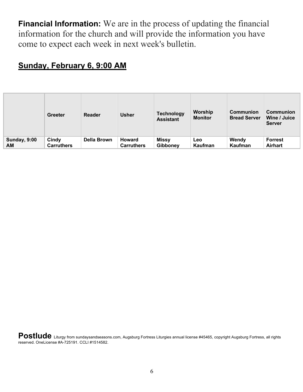**Financial Information:** We are in the process of updating the financial information for the church and will provide the information you have come to expect each week in next week's bulletin.

## **Sunday, February 6, 9:00 AM**

|                     | <b>Greeter</b>    | <b>Reader</b>      | <b>Usher</b>      | <b>Technology</b><br><b>Assistant</b> | Worship<br><b>Monitor</b> | Communion<br><b>Bread Server</b> | <b>Communion</b><br>Wine / Juice<br><b>Server</b> |
|---------------------|-------------------|--------------------|-------------------|---------------------------------------|---------------------------|----------------------------------|---------------------------------------------------|
| <b>Sunday, 9:00</b> | Cindy             | <b>Della Brown</b> | Howard            | <b>Missy</b>                          | Leo                       | Wendy                            | <b>Forrest</b>                                    |
| AM                  | <b>Carruthers</b> |                    | <b>Carruthers</b> | Gibboney                              | Kaufman                   | Kaufman                          | <b>Airhart</b>                                    |

Postlude Liturgy from sundaysandseasons.com, Augsburg Fortress Liturgies annual license #45465, copyright Augsburg Fortress, all rights reserved. OneLicense #A-725191. CCLI #1514582.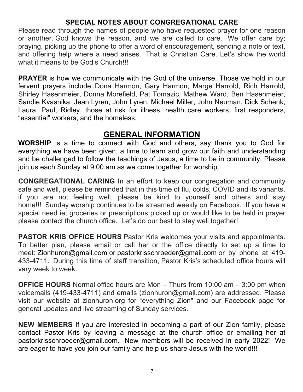#### **SPECIAL NOTES ABOUT CONGREGATIONAL CARE**

Please read through the names of people who have requested prayer for one reason or another. God knows the reason, and we are called to care. We offer care by; praying, picking up the phone to offer a word of encouragement, sending a note or text, and offering help where a need arises. That is Christian Care. Let's show the world what it means to be God's Church!!!

**PRAYER** is how we communicate with the God of the universe. Those we hold in our fervent prayers include: Dona Harmon, Gary Harmon, Marge Harrold, Rich Harrold, Shirley Hasenmeier, Donna Morefield, Pat Tomazic, Mathew Ward, Ben Hasenmeier, Sandie Kvasnika, Jean Lyren, John Lyren, Michael Miller, John Neuman, Dick Schenk, Laura, Paul, Ridley, those at risk for illness, health care workers, first responders, "essential" workers, and the homeless.

### **GENERAL INFORMATION**

**WORSHIP** is a time to connect with God and others, say thank you to God for everything we have been given, a time to learn and grow our faith and understanding and be challenged to follow the teachings of Jesus, a time to be in community. Please join us each Sunday at 9:00 am as we come together for worship.

**CONGREGATIONAL CARING** In an effort to keep our congregation and community safe and well, please be reminded that in this time of flu, colds, COVID and its variants, if you are not feeling well, please be kind to yourself and others and stay home!!! Sunday worship continues to be streamed weekly on Facebook. If you have a special need ie; groceries or prescriptions picked up or would like to be held in prayer please contact the church office. Let's do our best to stay well together!

**PASTOR KRIS OFFICE HOURS** Pastor Kris welcomes your visits and appointments. To better plan, please email or call her or the office directly to set up a time to meet: Zionhuron@gmail.com or pastorkrisschroeder@gmail.com or by phone at 419-433-4711. During this time of staff transition, Pastor Kris's scheduled office hours will vary week to week.

**OFFICE HOURS** Normal office hours are Mon – Thurs from 10:00 am – 3:00 pm when voicemails (419-433-4711) and emails (zionhuron@gmail.com) are addressed. Please visit our website at zionhuron.org for "everything Zion" and our Facebook page for general updates and live streaming of Sunday services.

**NEW MEMBERS** If you are interested in becoming a part of our Zion family, please contact Pastor Kris by leaving a message at the church office or emailing her at pastorkrisschroeder@gmail.com. New members will be received in early 2022! We are eager to have you join our family and help us share Jesus with the world!!!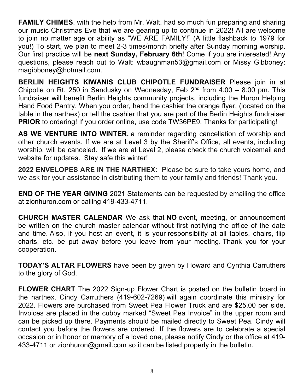**FAMILY CHIMES**, with the help from Mr. Walt, had so much fun preparing and sharing our music Christmas Eve that we are gearing up to continue in 2022! All are welcome to join no matter age or ability as "WE ARE FAMILY!" (A little flashback to 1979 for you!) To start, we plan to meet 2-3 times/month briefly after Sunday morning worship. Our first practice will be **next Sunday, February 6th**! Come if you are interested! Any questions, please reach out to Walt: wbaughman53@gmail.com or Missy Gibboney: magibboney@hotmail.com.

**BERLIN HEIGHTS KIWANIS CLUB CHIPOTLE FUNDRAISER** Please join in at Chipotle on Rt. 250 in Sandusky on Wednesday, Feb  $2^{nd}$  from  $4:00 - 8:00$  pm. This fundraiser will benefit Berlin Heights community projects, including the Huron Helping Hand Food Pantry. When you order, hand the cashier the orange flyer, (located on the table in the narthex) or tell the cashier that you are part of the Berlin Heights fundraiser **PRIOR** to ordering! If you order online, use code TW36PE9. Thanks for participating!

**AS WE VENTURE INTO WINTER,** a reminder regarding cancellation of worship and other church events. If we are at Level 3 by the Sheriff's Office, all events, including worship, will be canceled. If we are at Level 2, please check the church voicemail and website for updates. Stay safe this winter!

**2022 ENVELOPES ARE IN THE NARTHEX:** Please be sure to take yours home, and we ask for your assistance in distributing them to your family and friends! Thank you.

**END OF THE YEAR GIVING** 2021 Statements can be requested by emailing the office at zionhuron.com or calling 419-433-4711.

**CHURCH MASTER CALENDAR** We ask that **NO** event, meeting, or announcement be written on the church master calendar without first notifying the office of the date and time. Also, if you host an event, it is your responsibility at all tables, chairs, flip charts, etc. be put away before you leave from your meeting. Thank you for your cooperation.

**TODAY'S ALTAR FLOWERS** have been by given by Howard and Cynthia Carruthers to the glory of God.

**FLOWER CHART** The 2022 Sign-up Flower Chart is posted on the bulletin board in the narthex. Cindy Carruthers (419-602-7269) will again coordinate this ministry for 2022. Flowers are purchased from Sweet Pea Flower Truck and are \$25.00 per side. Invoices are placed in the cubby marked "Sweet Pea Invoice" in the upper room and can be picked up there. Payments should be mailed directly to Sweet Pea. Cindy will contact you before the flowers are ordered. If the flowers are to celebrate a special occasion or in honor or memory of a loved one, please notify Cindy or the office at 419- 433-4711 or zionhuron@gmail.com so it can be listed properly in the bulletin.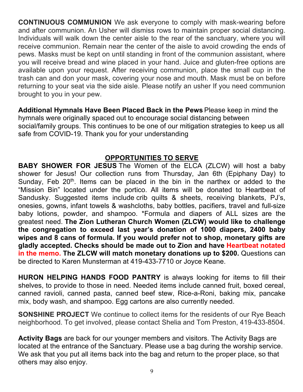**CONTINUOUS COMMUNION** We ask everyone to comply with mask-wearing before and after communion. An Usher will dismiss rows to maintain proper social distancing. Individuals will walk down the center aisle to the rear of the sanctuary, where you will receive communion. Remain near the center of the aisle to avoid crowding the ends of pews. Masks must be kept on until standing in front of the communion assistant, where you will receive bread and wine placed in your hand. Juice and gluten-free options are available upon your request. After receiving communion, place the small cup in the trash can and don your mask, covering your nose and mouth. Mask must be on before returning to your seat via the side aisle. Please notify an usher If you need communion brought to you in your pew.

**Additional Hymnals Have Been Placed Back in the Pews** Please keep in mind the hymnals were originally spaced out to encourage social distancing between social/family groups. This continues to be one of our mitigation strategies to keep us all safe from COVID-19. Thank you for your understanding

#### **OPPORTUNITIES TO SERVE**

**BABY SHOWER FOR JESUS** The Women of the ELCA (ZLCW) will host a baby shower for Jesus! Our collection runs from Thursday, Jan 6th (Epiphany Day) to Sunday, Feb  $20<sup>th</sup>$ . Items can be placed in the bin in the narthex or added to the "Mission Bin" located under the portico. All items will be donated to Heartbeat of Sandusky. Suggested items include crib quilts & sheets, receiving blankets, PJ's, onesies, gowns, infant towels & washcloths, baby bottles, pacifiers, travel and full-size baby lotions, powder, and shampoo. \*Formula and diapers of ALL sizes are the greatest need. **The Zion Lutheran Church Women (ZLCW) would like to challenge the congregation to exceed last year's donation of 1000 diapers, 2400 baby wipes and 8 cans of formula. If you would prefer not to shop, monetary gifts are gladly accepted. Checks should be made out to Zion and have Heartbeat notated in the memo. The ZLCW will match monetary donations up to \$200.** Questions can be directed to Karen Munsterman at 419-433-7710 or Joyce Keane.

**HURON HELPING HANDS FOOD PANTRY** is always looking for items to fill their shelves, to provide to those in need. Needed items include canned fruit, boxed cereal, canned ravioli, canned pasta, canned beef stew, Rice-a-Roni, baking mix, pancake mix, body wash, and shampoo. Egg cartons are also currently needed.

**SONSHINE PROJECT** We continue to collect items for the residents of our Rye Beach neighborhood. To get involved, please contact Shelia and Tom Preston, 419-433-8504.

**Activity Bags** are back for our younger members and visitors. The Activity Bags are located at the entrance of the Sanctuary. Please use a bag during the worship service. We ask that you put all items back into the bag and return to the proper place, so that others may also enjoy.